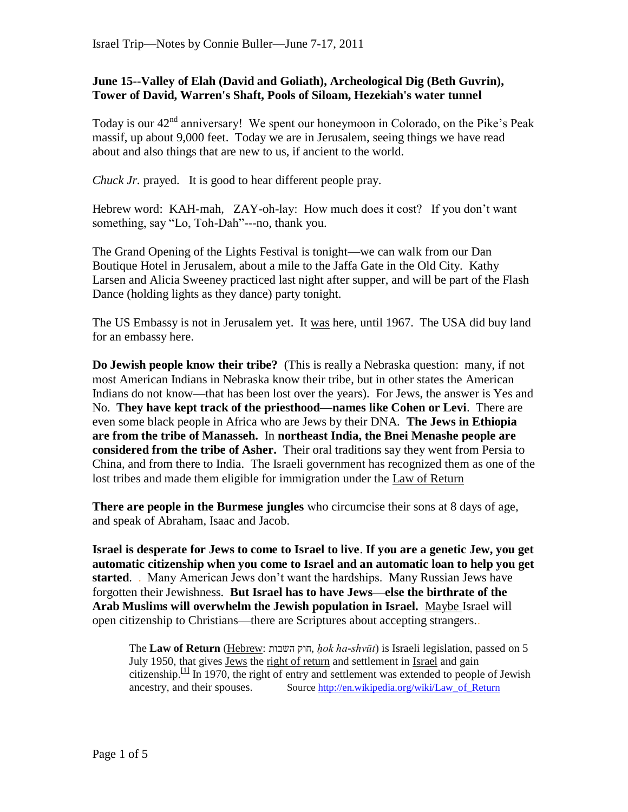## **June 15--Valley of Elah (David and Goliath), Archeological Dig (Beth Guvrin), Tower of David, Warren's Shaft, Pools of Siloam, Hezekiah's water tunnel**

Today is our  $42<sup>nd</sup>$  anniversary! We spent our honeymoon in Colorado, on the Pike's Peak massif, up about 9,000 feet. Today we are in Jerusalem, seeing things we have read about and also things that are new to us, if ancient to the world.

*Chuck Jr.* prayed. It is good to hear different people pray.

Hebrew word: KAH-mah, ZAY-oh-lay: How much does it cost? If you don't want something, say "Lo, Toh-Dah"---no, thank you.

The Grand Opening of the Lights Festival is tonight—we can walk from our Dan Boutique Hotel in Jerusalem, about a mile to the Jaffa Gate in the Old City. Kathy Larsen and Alicia Sweeney practiced last night after supper, and will be part of the Flash Dance (holding lights as they dance) party tonight.

The US Embassy is not in Jerusalem yet. It was here, until 1967. The USA did buy land for an embassy here.

**Do Jewish people know their tribe?** (This is really a Nebraska question: many, if not most American Indians in Nebraska know their tribe, but in other states the American Indians do not know—that has been lost over the years). For Jews, the answer is Yes and No. **They have kept track of the priesthood—names like Cohen or Levi**. There are even some black people in Africa who are Jews by their DNA. **The Jews in Ethiopia are from the tribe of Manasseh.** In **northeast India, the Bnei Menashe people are considered from the tribe of Asher.** Their oral traditions say they went from Persia to China, and from there to India. The Israeli government has recognized them as one of the lost tribes and made them eligible for immigration under the [Law of Return](http://en.wikipedia.org/wiki/Law_of_Return)

**There are people in the Burmese jungles** who circumcise their sons at 8 days of age, and speak of Abraham, Isaac and Jacob.

**Israel is desperate for Jews to come to Israel to live**. **If you are a genetic Jew, you get automatic citizenship when you come to Israel and an automatic loan to help you get started**. . Many American Jews don"t want the hardships. Many Russian Jews have forgotten their Jewishness. **But Israel has to have Jews—else the birthrate of the Arab Muslims will overwhelm the Jewish population in Israel.** Maybe Israel will open citizenship to Christians—there are Scriptures about accepting strangers..

The **Law of Return** [\(Hebrew:](http://en.wikipedia.org/wiki/Hebrew_language) השבות חוק, *ḥok ha-shvūt*) is Israeli legislation, passed on 5 July 1950, that gives [Jews](http://en.wikipedia.org/wiki/Jew) the [right of return](http://en.wikipedia.org/wiki/Right_of_return) and settlement in [Israel](http://en.wikipedia.org/wiki/Israel) and gain citizenship. $\frac{11}{1}$  In 1970, the right of entry and settlement was extended to people of Jewish ancestry, and their spouses. Source [http://en.wikipedia.org/wiki/Law\\_of\\_Return](http://en.wikipedia.org/wiki/Law_of_Return)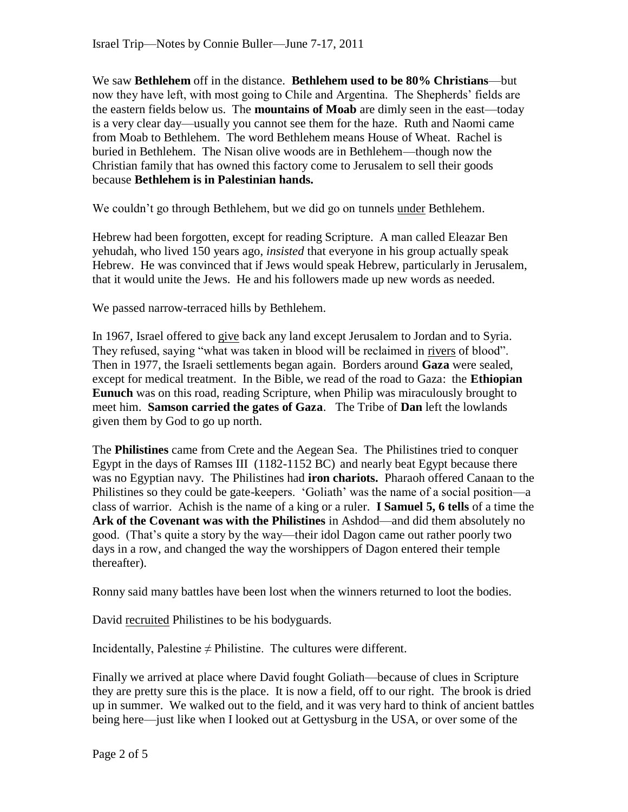We saw **Bethlehem** off in the distance. **Bethlehem used to be 80% Christians**—but now they have left, with most going to Chile and Argentina. The Shepherds' fields are the eastern fields below us. The **mountains of Moab** are dimly seen in the east—today is a very clear day—usually you cannot see them for the haze. Ruth and Naomi came from Moab to Bethlehem. The word Bethlehem means House of Wheat. Rachel is buried in Bethlehem. The Nisan olive woods are in Bethlehem—though now the Christian family that has owned this factory come to Jerusalem to sell their goods because **Bethlehem is in Palestinian hands.** 

We couldn"t go through Bethlehem, but we did go on tunnels under Bethlehem.

Hebrew had been forgotten, except for reading Scripture. A man called Eleazar Ben yehudah, who lived 150 years ago, *insisted* that everyone in his group actually speak Hebrew. He was convinced that if Jews would speak Hebrew, particularly in Jerusalem, that it would unite the Jews. He and his followers made up new words as needed.

We passed narrow-terraced hills by Bethlehem.

In 1967, Israel offered to give back any land except Jerusalem to Jordan and to Syria. They refused, saying "what was taken in blood will be reclaimed in rivers of blood". Then in 1977, the Israeli settlements began again. Borders around **Gaza** were sealed, except for medical treatment. In the Bible, we read of the road to Gaza: the **Ethiopian Eunuch** was on this road, reading Scripture, when Philip was miraculously brought to meet him. **Samson carried the gates of Gaza**. The Tribe of **Dan** left the lowlands given them by God to go up north.

The **Philistines** came from Crete and the Aegean Sea. The Philistines tried to conquer Egypt in the days of Ramses III (1182-1152 BC) and nearly beat Egypt because there was no Egyptian navy. The Philistines had **iron chariots.** Pharaoh offered Canaan to the Philistines so they could be gate-keepers. "Goliath" was the name of a social position—a class of warrior. Achish is the name of a king or a ruler. **I Samuel 5, 6 tells** of a time the **Ark of the Covenant was with the Philistines** in Ashdod—and did them absolutely no good. (That"s quite a story by the way—their idol Dagon came out rather poorly two days in a row, and changed the way the worshippers of Dagon entered their temple thereafter).

Ronny said many battles have been lost when the winners returned to loot the bodies.

David recruited Philistines to be his bodyguards.

Incidentally, Palestine  $\neq$  Philistine. The cultures were different.

Finally we arrived at place where David fought Goliath—because of clues in Scripture they are pretty sure this is the place. It is now a field, off to our right. The brook is dried up in summer. We walked out to the field, and it was very hard to think of ancient battles being here—just like when I looked out at Gettysburg in the USA, or over some of the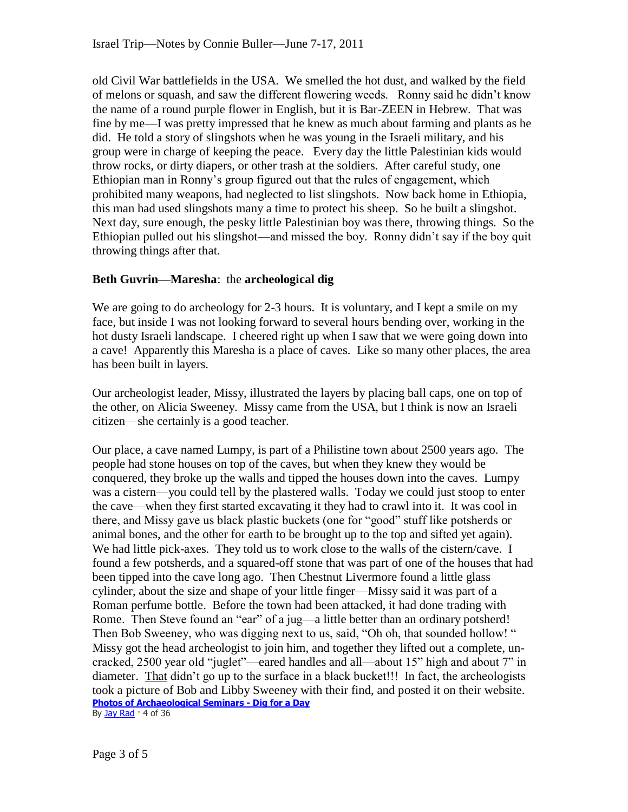old Civil War battlefields in the USA. We smelled the hot dust, and walked by the field of melons or squash, and saw the different flowering weeds. Ronny said he didn"t know the name of a round purple flower in English, but it is Bar-ZEEN in Hebrew. That was fine by me—I was pretty impressed that he knew as much about farming and plants as he did. He told a story of slingshots when he was young in the Israeli military, and his group were in charge of keeping the peace. Every day the little Palestinian kids would throw rocks, or dirty diapers, or other trash at the soldiers. After careful study, one Ethiopian man in Ronny"s group figured out that the rules of engagement, which prohibited many weapons, had neglected to list slingshots. Now back home in Ethiopia, this man had used slingshots many a time to protect his sheep. So he built a slingshot. Next day, sure enough, the pesky little Palestinian boy was there, throwing things. So the Ethiopian pulled out his slingshot—and missed the boy. Ronny didn"t say if the boy quit throwing things after that.

## **Beth Guvrin—Maresha**: the **archeological dig**

We are going to do archeology for 2-3 hours. It is voluntary, and I kept a smile on my face, but inside I was not looking forward to several hours bending over, working in the hot dusty Israeli landscape. I cheered right up when I saw that we were going down into a cave! Apparently this Maresha is a place of caves. Like so many other places, the area has been built in layers.

Our archeologist leader, Missy, illustrated the layers by placing ball caps, one on top of the other, on Alicia Sweeney. Missy came from the USA, but I think is now an Israeli citizen—she certainly is a good teacher.

Our place, a cave named Lumpy, is part of a Philistine town about 2500 years ago. The people had stone houses on top of the caves, but when they knew they would be conquered, they broke up the walls and tipped the houses down into the caves. Lumpy was a cistern—you could tell by the plastered walls. Today we could just stoop to enter the cave—when they first started excavating it they had to crawl into it. It was cool in there, and Missy gave us black plastic buckets (one for "good" stuff like potsherds or animal bones, and the other for earth to be brought up to the top and sifted yet again). We had little pick-axes. They told us to work close to the walls of the cistern/cave. I found a few potsherds, and a squared-off stone that was part of one of the houses that had been tipped into the cave long ago. Then Chestnut Livermore found a little glass cylinder, about the size and shape of your little finger—Missy said it was part of a Roman perfume bottle. Before the town had been attacked, it had done trading with Rome. Then Steve found an "ear" of a jug—a little better than an ordinary potsherd! Then Bob Sweeney, who was digging next to us, said, "Oh oh, that sounded hollow! " Missy got the head archeologist to join him, and together they lifted out a complete, uncracked, 2500 year old "juglet"—eared handles and all—about 15" high and about 7" in diameter. That didn"t go up to the surface in a black bucket!!! In fact, the archeologists took a picture of Bob and Libby Sweeney with their find, and posted it on their website. **[Photos of Archaeological Seminars -](http://www.facebook.com/media/set/?set=o.252283676821) Dig for a Day** By **Jay Rad** · 4 of 36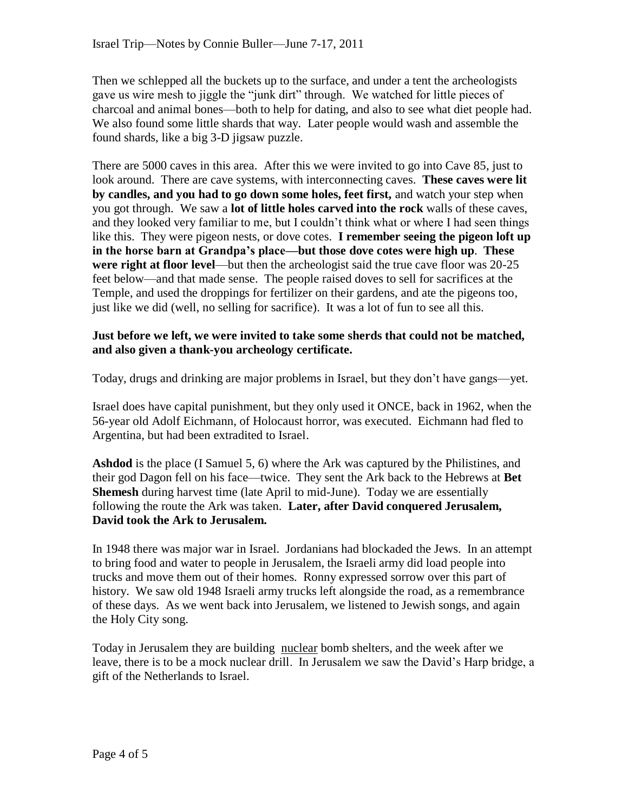Then we schlepped all the buckets up to the surface, and under a tent the archeologists gave us wire mesh to jiggle the "junk dirt" through. We watched for little pieces of charcoal and animal bones—both to help for dating, and also to see what diet people had. We also found some little shards that way. Later people would wash and assemble the found shards, like a big 3-D jigsaw puzzle.

There are 5000 caves in this area. After this we were invited to go into Cave 85, just to look around. There are cave systems, with interconnecting caves. **These caves were lit by candles, and you had to go down some holes, feet first,** and watch your step when you got through. We saw a **lot of little holes carved into the rock** walls of these caves, and they looked very familiar to me, but I couldn"t think what or where I had seen things like this. They were pigeon nests, or dove cotes. **I remember seeing the pigeon loft up in the horse barn at Grandpa's place—but those dove cotes were high up**. **These were right at floor level**—but then the archeologist said the true cave floor was 20-25 feet below—and that made sense. The people raised doves to sell for sacrifices at the Temple, and used the droppings for fertilizer on their gardens, and ate the pigeons too, just like we did (well, no selling for sacrifice). It was a lot of fun to see all this.

## **Just before we left, we were invited to take some sherds that could not be matched, and also given a thank-you archeology certificate.**

Today, drugs and drinking are major problems in Israel, but they don"t have gangs—yet.

Israel does have capital punishment, but they only used it ONCE, back in 1962, when the 56-year old Adolf Eichmann, of Holocaust horror, was executed. Eichmann had fled to Argentina, but had been extradited to Israel.

**Ashdod** is the place (I Samuel 5, 6) where the Ark was captured by the Philistines, and their god Dagon fell on his face—twice. They sent the Ark back to the Hebrews at **Bet Shemesh** during harvest time (late April to mid-June). Today we are essentially following the route the Ark was taken. **Later, after David conquered Jerusalem, David took the Ark to Jerusalem.** 

In 1948 there was major war in Israel. Jordanians had blockaded the Jews. In an attempt to bring food and water to people in Jerusalem, the Israeli army did load people into trucks and move them out of their homes. Ronny expressed sorrow over this part of history. We saw old 1948 Israeli army trucks left alongside the road, as a remembrance of these days. As we went back into Jerusalem, we listened to Jewish songs, and again the Holy City song.

Today in Jerusalem they are building nuclear bomb shelters, and the week after we leave, there is to be a mock nuclear drill. In Jerusalem we saw the David"s Harp bridge, a gift of the Netherlands to Israel.